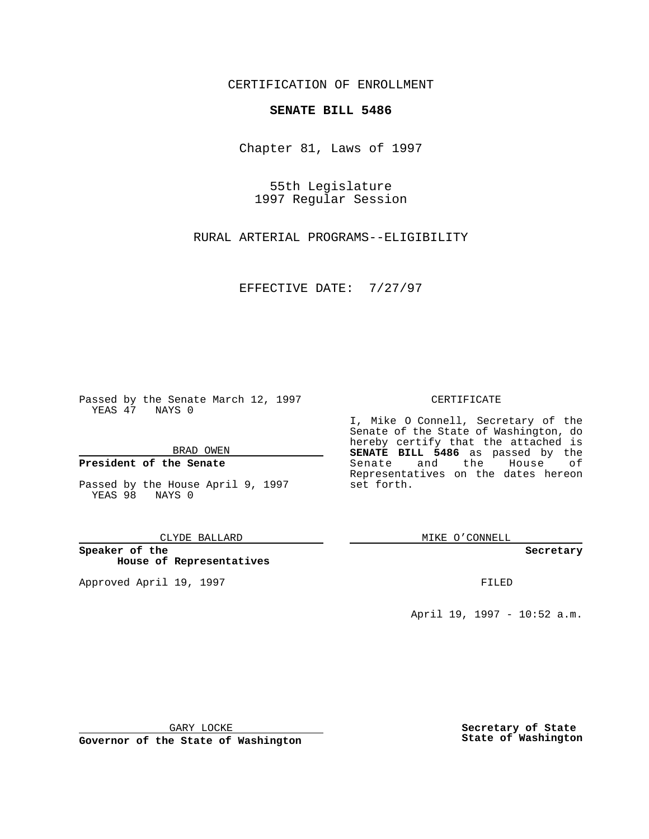CERTIFICATION OF ENROLLMENT

## **SENATE BILL 5486**

Chapter 81, Laws of 1997

55th Legislature 1997 Regular Session

RURAL ARTERIAL PROGRAMS--ELIGIBILITY

EFFECTIVE DATE: 7/27/97

Passed by the Senate March 12, 1997 YEAS 47 NAYS 0

BRAD OWEN

## **President of the Senate**

Passed by the House April 9, 1997 YEAS 98 NAYS 0

CLYDE BALLARD

**Speaker of the House of Representatives**

Approved April 19, 1997 **FILED** 

## CERTIFICATE

I, Mike O Connell, Secretary of the Senate of the State of Washington, do hereby certify that the attached is **SENATE BILL 5486** as passed by the Senate and the House of Representatives on the dates hereon set forth.

MIKE O'CONNELL

**Secretary**

April 19, 1997 - 10:52 a.m.

GARY LOCKE

**Governor of the State of Washington**

**Secretary of State State of Washington**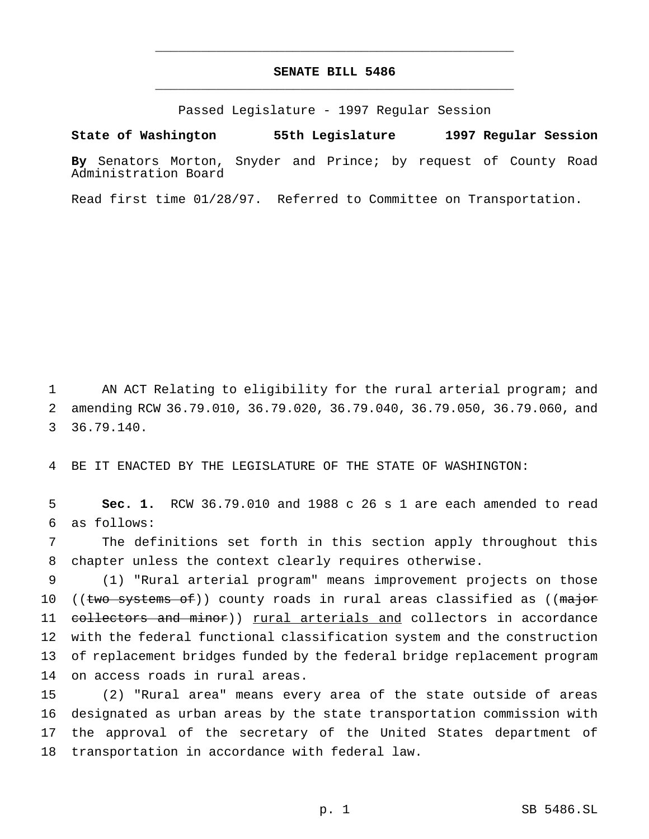## **SENATE BILL 5486** \_\_\_\_\_\_\_\_\_\_\_\_\_\_\_\_\_\_\_\_\_\_\_\_\_\_\_\_\_\_\_\_\_\_\_\_\_\_\_\_\_\_\_\_\_\_\_

\_\_\_\_\_\_\_\_\_\_\_\_\_\_\_\_\_\_\_\_\_\_\_\_\_\_\_\_\_\_\_\_\_\_\_\_\_\_\_\_\_\_\_\_\_\_\_

Passed Legislature - 1997 Regular Session

**State of Washington 55th Legislature 1997 Regular Session**

**By** Senators Morton, Snyder and Prince; by request of County Road Administration Board

Read first time 01/28/97. Referred to Committee on Transportation.

1 AN ACT Relating to eligibility for the rural arterial program; and 2 amending RCW 36.79.010, 36.79.020, 36.79.040, 36.79.050, 36.79.060, and 3 36.79.140.

4 BE IT ENACTED BY THE LEGISLATURE OF THE STATE OF WASHINGTON:

5 **Sec. 1.** RCW 36.79.010 and 1988 c 26 s 1 are each amended to read 6 as follows:

7 The definitions set forth in this section apply throughout this 8 chapter unless the context clearly requires otherwise.

 (1) "Rural arterial program" means improvement projects on those 10 ((two systems of)) county roads in rural areas classified as ((major 11 collectors and minor)) rural arterials and collectors in accordance with the federal functional classification system and the construction of replacement bridges funded by the federal bridge replacement program on access roads in rural areas.

 (2) "Rural area" means every area of the state outside of areas designated as urban areas by the state transportation commission with the approval of the secretary of the United States department of transportation in accordance with federal law.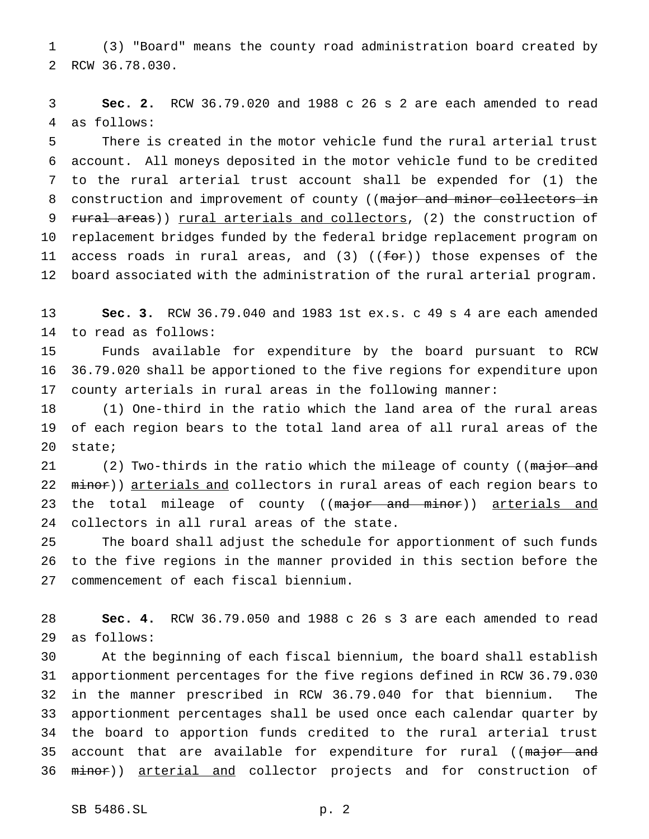(3) "Board" means the county road administration board created by RCW 36.78.030.

 **Sec. 2.** RCW 36.79.020 and 1988 c 26 s 2 are each amended to read as follows:

 There is created in the motor vehicle fund the rural arterial trust account. All moneys deposited in the motor vehicle fund to be credited to the rural arterial trust account shall be expended for (1) the 8 construction and improvement of county ((major and minor collectors in 9 rural areas)) rural arterials and collectors, (2) the construction of replacement bridges funded by the federal bridge replacement program on 11 access roads in rural areas, and  $(3)$   $((f\rightarrow f)$  those expenses of the board associated with the administration of the rural arterial program.

 **Sec. 3.** RCW 36.79.040 and 1983 1st ex.s. c 49 s 4 are each amended to read as follows:

 Funds available for expenditure by the board pursuant to RCW 36.79.020 shall be apportioned to the five regions for expenditure upon county arterials in rural areas in the following manner:

 (1) One-third in the ratio which the land area of the rural areas of each region bears to the total land area of all rural areas of the state;

21 (2) Two-thirds in the ratio which the mileage of county ((major and 22 minor)) arterials and collectors in rural areas of each region bears to 23 the total mileage of county ((major and minor)) arterials and collectors in all rural areas of the state.

 The board shall adjust the schedule for apportionment of such funds to the five regions in the manner provided in this section before the commencement of each fiscal biennium.

 **Sec. 4.** RCW 36.79.050 and 1988 c 26 s 3 are each amended to read as follows:

 At the beginning of each fiscal biennium, the board shall establish apportionment percentages for the five regions defined in RCW 36.79.030 in the manner prescribed in RCW 36.79.040 for that biennium. The apportionment percentages shall be used once each calendar quarter by the board to apportion funds credited to the rural arterial trust 35 account that are available for expenditure for rural ((major and 36 minor)) arterial and collector projects and for construction of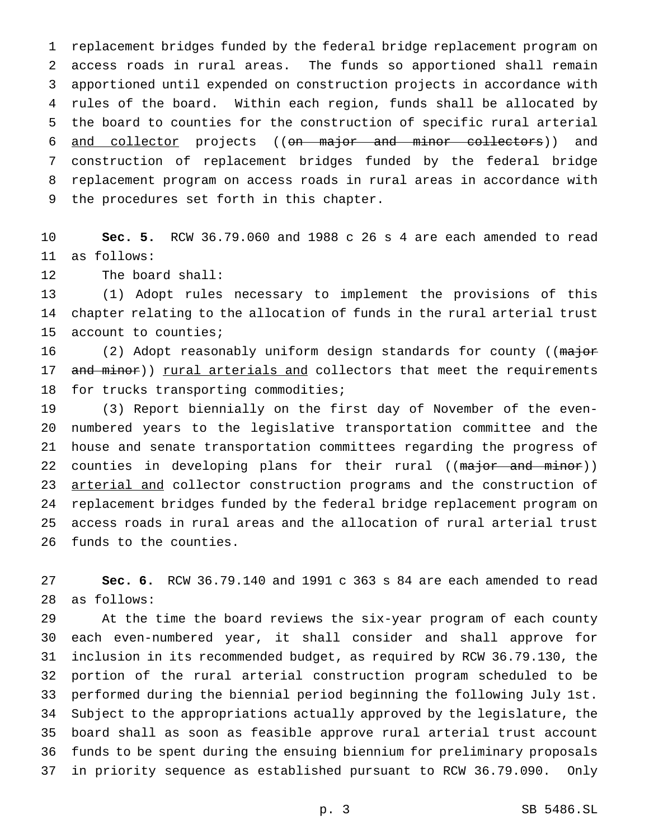replacement bridges funded by the federal bridge replacement program on access roads in rural areas. The funds so apportioned shall remain apportioned until expended on construction projects in accordance with rules of the board. Within each region, funds shall be allocated by the board to counties for the construction of specific rural arterial 6 and collector projects ((on major and minor collectors)) and construction of replacement bridges funded by the federal bridge replacement program on access roads in rural areas in accordance with the procedures set forth in this chapter.

 **Sec. 5.** RCW 36.79.060 and 1988 c 26 s 4 are each amended to read as follows:

The board shall:

 (1) Adopt rules necessary to implement the provisions of this chapter relating to the allocation of funds in the rural arterial trust account to counties;

16 (2) Adopt reasonably uniform design standards for county ((major 17 and minor)) rural arterials and collectors that meet the requirements for trucks transporting commodities;

 (3) Report biennially on the first day of November of the even- numbered years to the legislative transportation committee and the house and senate transportation committees regarding the progress of 22 counties in developing plans for their rural ((major and minor)) 23 arterial and collector construction programs and the construction of replacement bridges funded by the federal bridge replacement program on access roads in rural areas and the allocation of rural arterial trust funds to the counties.

 **Sec. 6.** RCW 36.79.140 and 1991 c 363 s 84 are each amended to read as follows:

 At the time the board reviews the six-year program of each county each even-numbered year, it shall consider and shall approve for inclusion in its recommended budget, as required by RCW 36.79.130, the portion of the rural arterial construction program scheduled to be performed during the biennial period beginning the following July 1st. Subject to the appropriations actually approved by the legislature, the board shall as soon as feasible approve rural arterial trust account funds to be spent during the ensuing biennium for preliminary proposals in priority sequence as established pursuant to RCW 36.79.090. Only